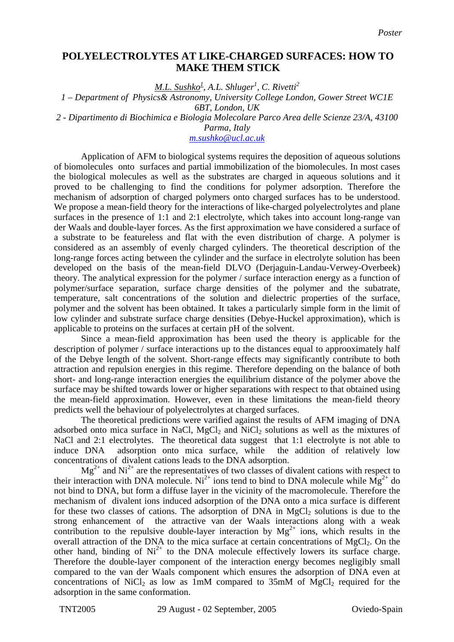## **POLYELECTROLYTES AT LIKE-CHARGED SURFACES: HOW TO MAKE THEM STICK**

*M.L. Sushko<sup>1</sup> , A.L. Shluger<sup>1</sup> , C. Rivetti<sup>2</sup>*

*1 – Department of Physics& Astronomy, University College London, Gower Street WC1E 6BT, London, UK* 

*2 - Dipartimento di Biochimica e Biologia Molecolare Parco Area delle Scienze 23/A, 43100* 

*Parma, Italy* 

*m.sushko@ucl.ac.uk*

 Application of AFM to biological systems requires the deposition of aqueous solutions of biomolecules onto surfaces and partial immobilization of the biomolecules. In most cases the biological molecules as well as the substrates are charged in aqueous solutions and it proved to be challenging to find the conditions for polymer adsorption. Therefore the mechanism of adsorption of charged polymers onto charged surfaces has to be understood. We propose a mean-field theory for the interactions of like-charged polyelectrolytes and plane surfaces in the presence of 1:1 and 2:1 electrolyte, which takes into account long-range van der Waals and double-layer forces. As the first approximation we have considered a surface of a substrate to be featureless and flat with the even distribution of charge. A polymer is considered as an assembly of evenly charged cylinders. The theoretical description of the long-range forces acting between the cylinder and the surface in electrolyte solution has been developed on the basis of the mean-field DLVO (Derjaguin-Landau-Verwey-Overbeek) theory. The analytical expression for the polymer / surface interaction energy as a function of polymer/surface separation, surface charge densities of the polymer and the subatrate, temperature, salt concentrations of the solution and dielectric properties of the surface, polymer and the solvent has been obtained. It takes a particularly simple form in the limit of low cylinder and substrate surface charge densities (Debye-Huckel approximation), which is applicable to proteins on the surfaces at certain pH of the solvent.

 Since a mean-field approximation has been used the theory is applicable for the description of polymer / surface interactions up to the distances equal to approoximately half of the Debye length of the solvent. Short-range effects may significantly contribute to both attraction and repulsion energies in this regime. Therefore depending on the balance of both short- and long-range interaction energies the equilibrium distance of the polymer above the surface may be shifted towards lower or higher separations with respect to that obtained using the mean-field approximation. However, even in these limitations the mean-field theory predicts well the behaviour of polyelectrolytes at charged surfaces.

 The theoretical predictions were varified against the results of AFM imaging of DNA adsorbed onto mica surface in NaCl, MgCl<sub>2</sub> and NiCl<sub>2</sub> solutions as well as the mixtures of NaCl and 2:1 electrolytes. The theoretical data suggest that 1:1 electrolyte is not able to induce DNA adsorption onto mica surface, while the addition of relatively low concentrations of divalent cations leads to the DNA adsorption.

 $Mg^{2+}$  and  $Ni^{2+}$  are the representatives of two classes of divalent cations with respect to their interaction with DNA molecule. Ni<sup>2+</sup> ions tend to bind to DNA molecule while  $\dot{Mg}^{2+}$  do not bind to DNA, but form a diffuse layer in the vicinity of the macromolecule. Therefore the mechanism of divalent ions induced adsorption of the DNA onto a mica surface is different for these two classes of cations. The adsorption of DNA in  $MgCl<sub>2</sub>$  solutions is due to the strong enhancement of the attractive van der Waals interactions along with a weak contribution to the repulsive double-layer interaction by  $Mg^{2+}$  ions, which results in the overall attraction of the DNA to the mica surface at certain concentrations of  $MgCl<sub>2</sub>$ . On the other hand, binding of  $Ni^{2+}$  to the DNA molecule effectively lowers its surface charge. Therefore the double-layer component of the interaction energy becomes negligibly small compared to the van der Waals component which ensures the adsorption of DNA even at concentrations of NiCl<sub>2</sub> as low as 1mM compared to 35mM of MgCl<sub>2</sub> required for the adsorption in the same conformation.